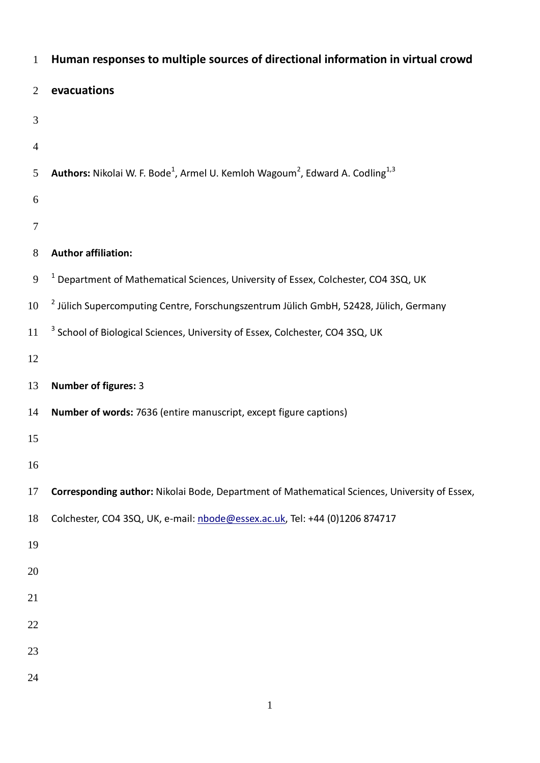| $\mathbf{1}$   | Human responses to multiple sources of directional information in virtual crowd                                          |
|----------------|--------------------------------------------------------------------------------------------------------------------------|
| 2              | evacuations                                                                                                              |
| 3              |                                                                                                                          |
| $\overline{4}$ |                                                                                                                          |
| 5              | <b>Authors:</b> Nikolai W. F. Bode <sup>1</sup> , Armel U. Kemloh Wagoum <sup>2</sup> , Edward A. Codling <sup>1,3</sup> |
| 6              |                                                                                                                          |
| 7              |                                                                                                                          |
| $8\phantom{.}$ | <b>Author affiliation:</b>                                                                                               |
| 9              | <sup>1</sup> Department of Mathematical Sciences, University of Essex, Colchester, CO4 3SQ, UK                           |
| 10             | <sup>2</sup> Jülich Supercomputing Centre, Forschungszentrum Jülich GmbH, 52428, Jülich, Germany                         |
| 11             | <sup>3</sup> School of Biological Sciences, University of Essex, Colchester, CO4 3SQ, UK                                 |
| 12             |                                                                                                                          |
| 13             | <b>Number of figures: 3</b>                                                                                              |
| 14             | Number of words: 7636 (entire manuscript, except figure captions)                                                        |
| 15             |                                                                                                                          |
| 16             |                                                                                                                          |
| 17             | Corresponding author: Nikolai Bode, Department of Mathematical Sciences, University of Essex,                            |
| 18             | Colchester, CO4 3SQ, UK, e-mail: nbode@essex.ac.uk, Tel: +44 (0)1206 874717                                              |
| 19             |                                                                                                                          |
| 20             |                                                                                                                          |
| 21             |                                                                                                                          |
| 22             |                                                                                                                          |
| 23             |                                                                                                                          |
| 24             |                                                                                                                          |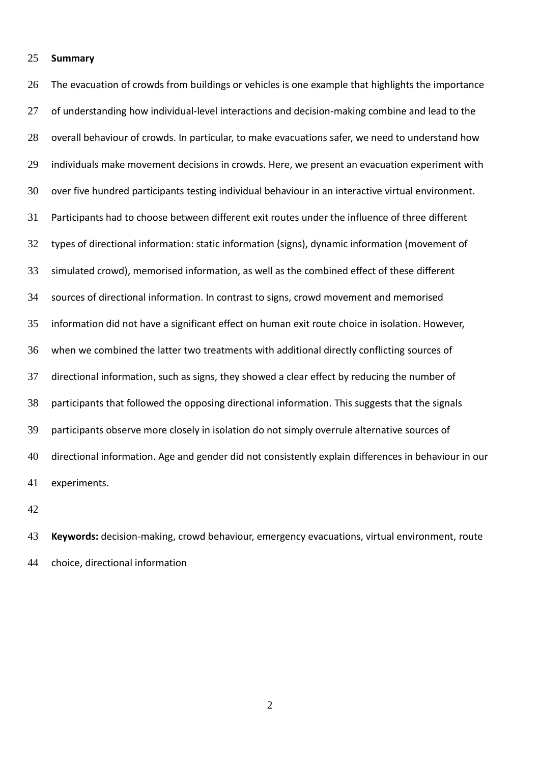## **Summary**

26 The evacuation of crowds from buildings or vehicles is one example that highlights the importance 27 of understanding how individual-level interactions and decision-making combine and lead to the 28 overall behaviour of crowds. In particular, to make evacuations safer, we need to understand how individuals make movement decisions in crowds. Here, we present an evacuation experiment with over five hundred participants testing individual behaviour in an interactive virtual environment. Participants had to choose between different exit routes under the influence of three different types of directional information: static information (signs), dynamic information (movement of simulated crowd), memorised information, as well as the combined effect of these different sources of directional information. In contrast to signs, crowd movement and memorised information did not have a significant effect on human exit route choice in isolation. However, when we combined the latter two treatments with additional directly conflicting sources of directional information, such as signs, they showed a clear effect by reducing the number of participants that followed the opposing directional information. This suggests that the signals participants observe more closely in isolation do not simply overrule alternative sources of directional information. Age and gender did not consistently explain differences in behaviour in our experiments.

 **Keywords:** decision-making, crowd behaviour, emergency evacuations, virtual environment, route choice, directional information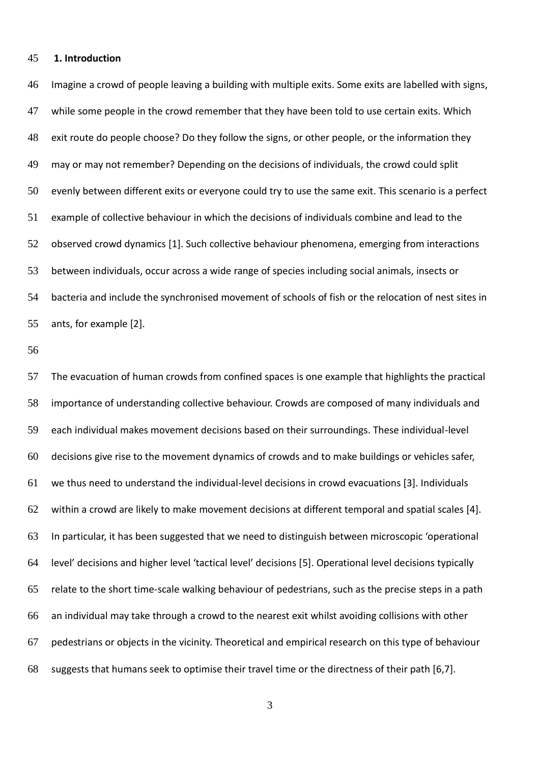#### **1. Introduction**

 Imagine a crowd of people leaving a building with multiple exits. Some exits are labelled with signs, while some people in the crowd remember that they have been told to use certain exits. Which exit route do people choose? Do they follow the signs, or other people, or the information they may or may not remember? Depending on the decisions of individuals, the crowd could split evenly between different exits or everyone could try to use the same exit. This scenario is a perfect example of collective behaviour in which the decisions of individuals combine and lead to the observed crowd dynamics [1]. Such collective behaviour phenomena, emerging from interactions between individuals, occur across a wide range of species including social animals, insects or bacteria and include the synchronised movement of schools of fish or the relocation of nest sites in ants, for example [2].

 The evacuation of human crowds from confined spaces is one example that highlights the practical importance of understanding collective behaviour. Crowds are composed of many individuals and each individual makes movement decisions based on their surroundings. These individual-level decisions give rise to the movement dynamics of crowds and to make buildings or vehicles safer, we thus need to understand the individual-level decisions in crowd evacuations [3]. Individuals within a crowd are likely to make movement decisions at different temporal and spatial scales [4]. In particular, it has been suggested that we need to distinguish between microscopic 'operational level' decisions and higher level 'tactical level' decisions [5]. Operational level decisions typically relate to the short time-scale walking behaviour of pedestrians, such as the precise steps in a path an individual may take through a crowd to the nearest exit whilst avoiding collisions with other pedestrians or objects in the vicinity. Theoretical and empirical research on this type of behaviour suggests that humans seek to optimise their travel time or the directness of their path [6,7].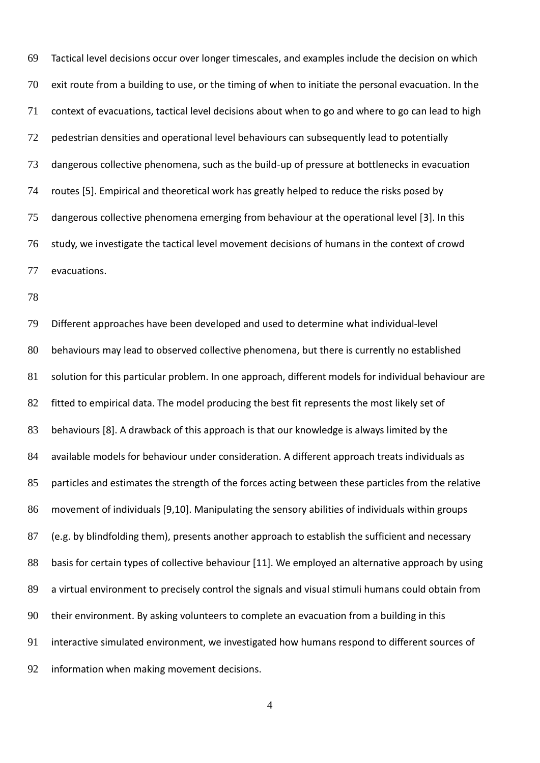Tactical level decisions occur over longer timescales, and examples include the decision on which exit route from a building to use, or the timing of when to initiate the personal evacuation. In the context of evacuations, tactical level decisions about when to go and where to go can lead to high pedestrian densities and operational level behaviours can subsequently lead to potentially dangerous collective phenomena, such as the build-up of pressure at bottlenecks in evacuation routes [5]. Empirical and theoretical work has greatly helped to reduce the risks posed by dangerous collective phenomena emerging from behaviour at the operational level [3]. In this study, we investigate the tactical level movement decisions of humans in the context of crowd evacuations.

 Different approaches have been developed and used to determine what individual-level behaviours may lead to observed collective phenomena, but there is currently no established solution for this particular problem. In one approach, different models for individual behaviour are 82 fitted to empirical data. The model producing the best fit represents the most likely set of behaviours [8]. A drawback of this approach is that our knowledge is always limited by the available models for behaviour under consideration. A different approach treats individuals as particles and estimates the strength of the forces acting between these particles from the relative movement of individuals [9,10]. Manipulating the sensory abilities of individuals within groups (e.g. by blindfolding them), presents another approach to establish the sufficient and necessary 88 basis for certain types of collective behaviour [11]. We employed an alternative approach by using a virtual environment to precisely control the signals and visual stimuli humans could obtain from their environment. By asking volunteers to complete an evacuation from a building in this interactive simulated environment, we investigated how humans respond to different sources of information when making movement decisions.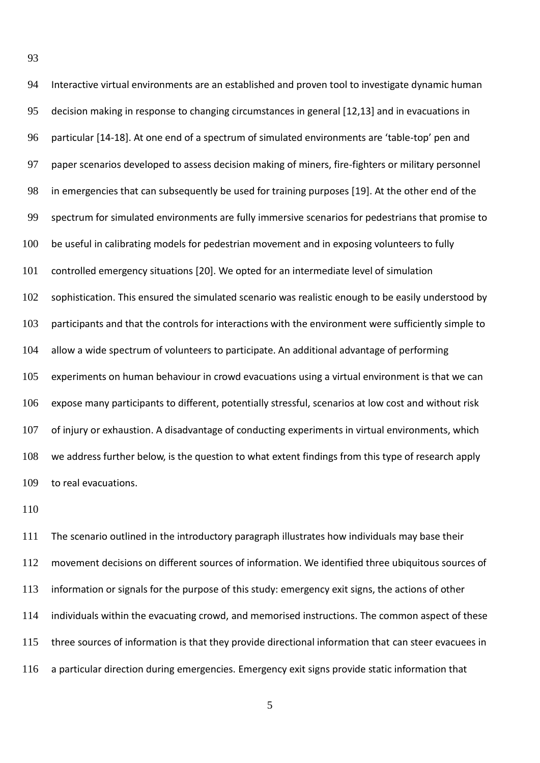| 94  | Interactive virtual environments are an established and proven tool to investigate dynamic human     |
|-----|------------------------------------------------------------------------------------------------------|
| 95  | decision making in response to changing circumstances in general [12,13] and in evacuations in       |
| 96  | particular [14-18]. At one end of a spectrum of simulated environments are 'table-top' pen and       |
| 97  | paper scenarios developed to assess decision making of miners, fire-fighters or military personnel   |
| 98  | in emergencies that can subsequently be used for training purposes [19]. At the other end of the     |
| 99  | spectrum for simulated environments are fully immersive scenarios for pedestrians that promise to    |
| 100 | be useful in calibrating models for pedestrian movement and in exposing volunteers to fully          |
| 101 | controlled emergency situations [20]. We opted for an intermediate level of simulation               |
| 102 | sophistication. This ensured the simulated scenario was realistic enough to be easily understood by  |
| 103 | participants and that the controls for interactions with the environment were sufficiently simple to |
| 104 | allow a wide spectrum of volunteers to participate. An additional advantage of performing            |
| 105 | experiments on human behaviour in crowd evacuations using a virtual environment is that we can       |
| 106 | expose many participants to different, potentially stressful, scenarios at low cost and without risk |
| 107 | of injury or exhaustion. A disadvantage of conducting experiments in virtual environments, which     |
| 108 | we address further below, is the question to what extent findings from this type of research apply   |
| 109 | to real evacuations.                                                                                 |

 The scenario outlined in the introductory paragraph illustrates how individuals may base their movement decisions on different sources of information. We identified three ubiquitous sources of information or signals for the purpose of this study: emergency exit signs, the actions of other individuals within the evacuating crowd, and memorised instructions. The common aspect of these three sources of information is that they provide directional information that can steer evacuees in a particular direction during emergencies. Emergency exit signs provide static information that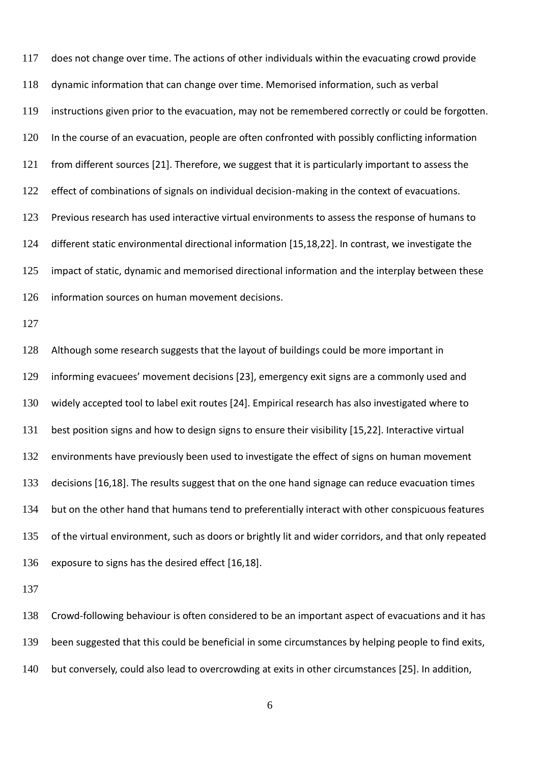does not change over time. The actions of other individuals within the evacuating crowd provide dynamic information that can change over time. Memorised information, such as verbal instructions given prior to the evacuation, may not be remembered correctly or could be forgotten. In the course of an evacuation, people are often confronted with possibly conflicting information from different sources [21]. Therefore, we suggest that it is particularly important to assess the 122 effect of combinations of signals on individual decision-making in the context of evacuations. Previous research has used interactive virtual environments to assess the response of humans to different static environmental directional information [15,18,22]. In contrast, we investigate the impact of static, dynamic and memorised directional information and the interplay between these information sources on human movement decisions.

 Although some research suggests that the layout of buildings could be more important in informing evacuees' movement decisions [23], emergency exit signs are a commonly used and widely accepted tool to label exit routes [24]. Empirical research has also investigated where to best position signs and how to design signs to ensure their visibility [15,22]. Interactive virtual 132 environments have previously been used to investigate the effect of signs on human movement 133 decisions [16,18]. The results suggest that on the one hand signage can reduce evacuation times but on the other hand that humans tend to preferentially interact with other conspicuous features of the virtual environment, such as doors or brightly lit and wider corridors, and that only repeated exposure to signs has the desired effect [16,18].

 Crowd-following behaviour is often considered to be an important aspect of evacuations and it has been suggested that this could be beneficial in some circumstances by helping people to find exits, but conversely, could also lead to overcrowding at exits in other circumstances [25]. In addition,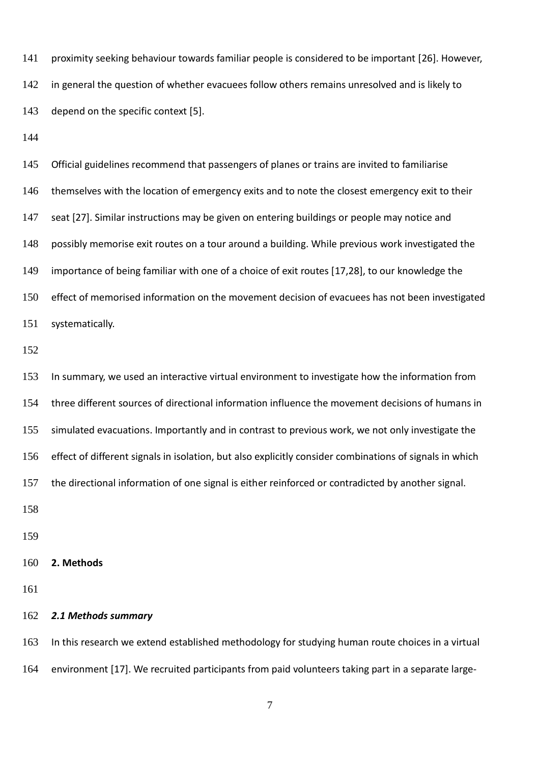proximity seeking behaviour towards familiar people is considered to be important [26]. However, 142 in general the question of whether evacuees follow others remains unresolved and is likely to depend on the specific context [5].

 Official guidelines recommend that passengers of planes or trains are invited to familiarise 146 themselves with the location of emergency exits and to note the closest emergency exit to their 147 seat [27]. Similar instructions may be given on entering buildings or people may notice and possibly memorise exit routes on a tour around a building. While previous work investigated the importance of being familiar with one of a choice of exit routes [17,28], to our knowledge the effect of memorised information on the movement decision of evacuees has not been investigated systematically.

 In summary, we used an interactive virtual environment to investigate how the information from three different sources of directional information influence the movement decisions of humans in simulated evacuations. Importantly and in contrast to previous work, we not only investigate the effect of different signals in isolation, but also explicitly consider combinations of signals in which the directional information of one signal is either reinforced or contradicted by another signal. 

# **2. Methods**

### *2.1 Methods summary*

 In this research we extend established methodology for studying human route choices in a virtual environment [17]. We recruited participants from paid volunteers taking part in a separate large-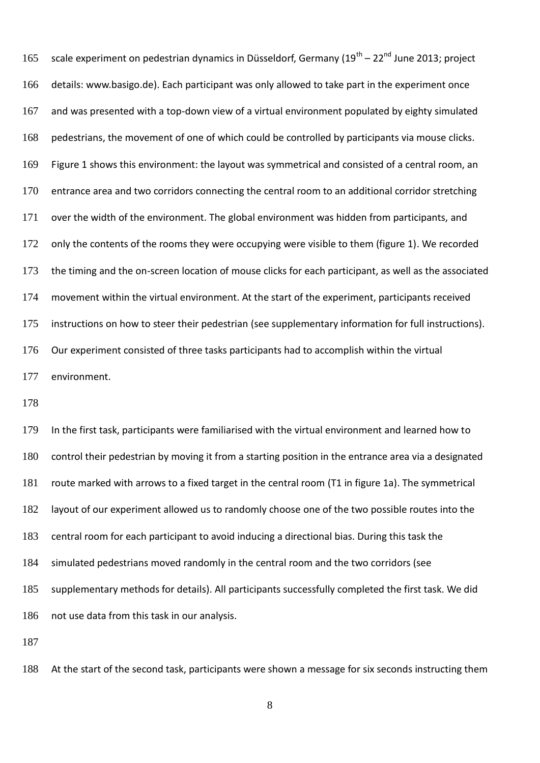165 scale experiment on pedestrian dynamics in Düsseldorf, Germany (19<sup>th</sup> – 22<sup>nd</sup> June 2013; project details: www.basigo.de). Each participant was only allowed to take part in the experiment once and was presented with a top-down view of a virtual environment populated by eighty simulated pedestrians, the movement of one of which could be controlled by participants via mouse clicks. Figure 1 shows this environment: the layout was symmetrical and consisted of a central room, an 170 entrance area and two corridors connecting the central room to an additional corridor stretching over the width of the environment. The global environment was hidden from participants, and 172 only the contents of the rooms they were occupying were visible to them (figure 1). We recorded the timing and the on-screen location of mouse clicks for each participant, as well as the associated movement within the virtual environment. At the start of the experiment, participants received instructions on how to steer their pedestrian (see supplementary information for full instructions). Our experiment consisted of three tasks participants had to accomplish within the virtual environment.

 In the first task, participants were familiarised with the virtual environment and learned how to control their pedestrian by moving it from a starting position in the entrance area via a designated route marked with arrows to a fixed target in the central room (T1 in figure 1a). The symmetrical layout of our experiment allowed us to randomly choose one of the two possible routes into the central room for each participant to avoid inducing a directional bias. During this task the simulated pedestrians moved randomly in the central room and the two corridors (see supplementary methods for details). All participants successfully completed the first task. We did not use data from this task in our analysis. 

At the start of the second task, participants were shown a message for six seconds instructing them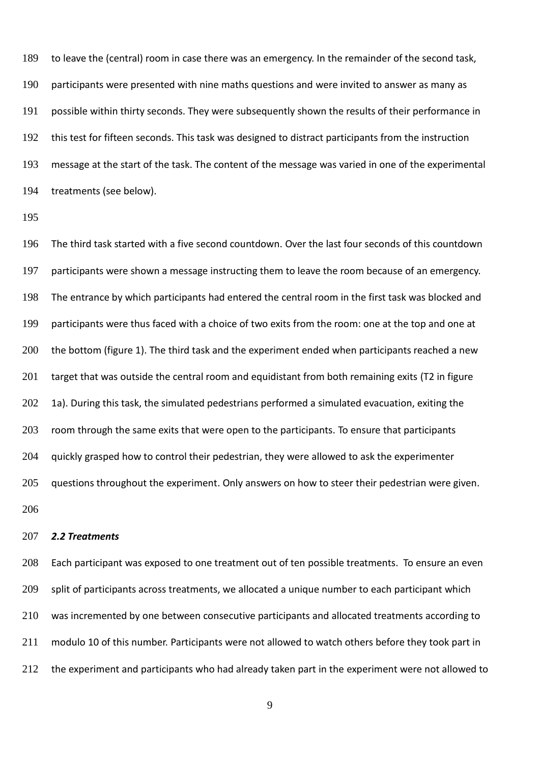to leave the (central) room in case there was an emergency. In the remainder of the second task, participants were presented with nine maths questions and were invited to answer as many as possible within thirty seconds. They were subsequently shown the results of their performance in this test for fifteen seconds. This task was designed to distract participants from the instruction message at the start of the task. The content of the message was varied in one of the experimental treatments (see below).

 The third task started with a five second countdown. Over the last four seconds of this countdown participants were shown a message instructing them to leave the room because of an emergency. The entrance by which participants had entered the central room in the first task was blocked and participants were thus faced with a choice of two exits from the room: one at the top and one at the bottom (figure 1). The third task and the experiment ended when participants reached a new 201 target that was outside the central room and equidistant from both remaining exits (T2 in figure 202 1a). During this task, the simulated pedestrians performed a simulated evacuation, exiting the 203 room through the same exits that were open to the participants. To ensure that participants 204 guickly grasped how to control their pedestrian, they were allowed to ask the experimenter 205 guestions throughout the experiment. Only answers on how to steer their pedestrian were given. 

#### *2.2 Treatments*

 Each participant was exposed to one treatment out of ten possible treatments. To ensure an even 209 split of participants across treatments, we allocated a unique number to each participant which was incremented by one between consecutive participants and allocated treatments according to modulo 10 of this number. Participants were not allowed to watch others before they took part in 212 the experiment and participants who had already taken part in the experiment were not allowed to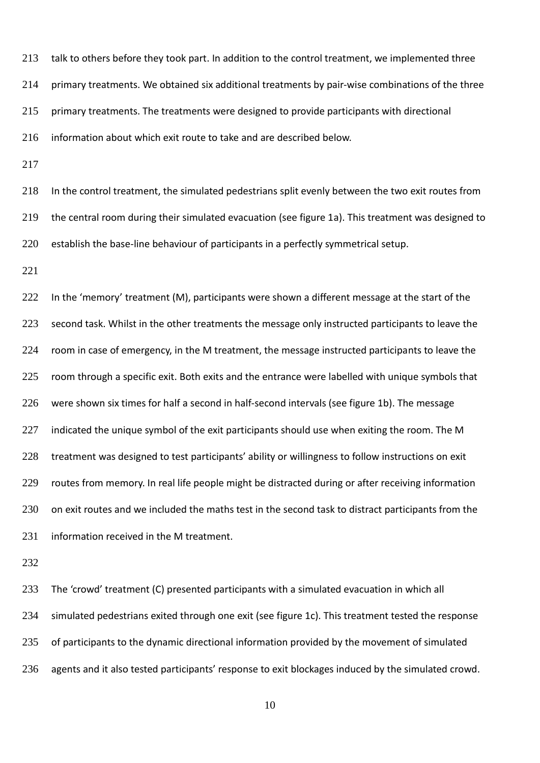213 talk to others before they took part. In addition to the control treatment, we implemented three primary treatments. We obtained six additional treatments by pair-wise combinations of the three primary treatments. The treatments were designed to provide participants with directional information about which exit route to take and are described below.

217

218 In the control treatment, the simulated pedestrians split evenly between the two exit routes from 219 the central room during their simulated evacuation (see figure 1a). This treatment was designed to 220 establish the base-line behaviour of participants in a perfectly symmetrical setup.

221

222 In the 'memory' treatment (M), participants were shown a different message at the start of the 223 second task. Whilst in the other treatments the message only instructed participants to leave the 224 room in case of emergency, in the M treatment, the message instructed participants to leave the 225 room through a specific exit. Both exits and the entrance were labelled with unique symbols that 226 were shown six times for half a second in half-second intervals (see figure 1b). The message 227 indicated the unique symbol of the exit participants should use when exiting the room. The M 228 treatment was designed to test participants' ability or willingness to follow instructions on exit 229 routes from memory. In real life people might be distracted during or after receiving information 230 on exit routes and we included the maths test in the second task to distract participants from the 231 information received in the M treatment.

232

 The 'crowd' treatment (C) presented participants with a simulated evacuation in which all simulated pedestrians exited through one exit (see figure 1c). This treatment tested the response 235 of participants to the dynamic directional information provided by the movement of simulated agents and it also tested participants' response to exit blockages induced by the simulated crowd.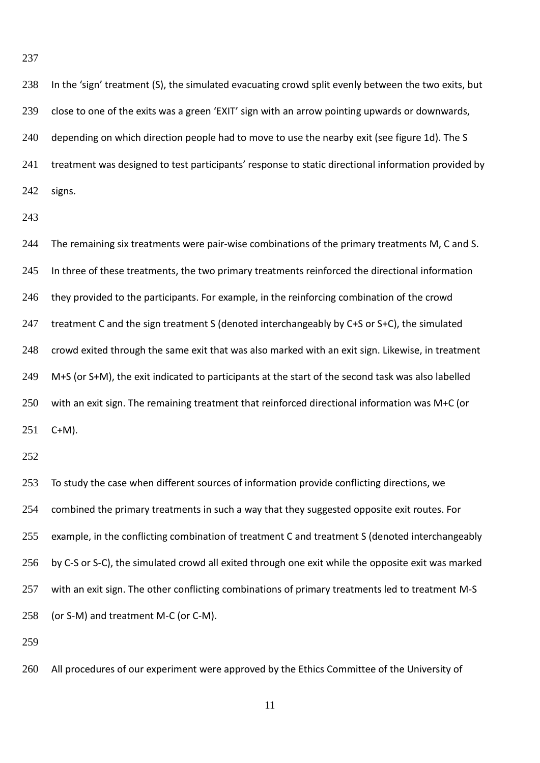In the 'sign' treatment (S), the simulated evacuating crowd split evenly between the two exits, but close to one of the exits was a green 'EXIT' sign with an arrow pointing upwards or downwards, 240 depending on which direction people had to move to use the nearby exit (see figure 1d). The S treatment was designed to test participants' response to static directional information provided by signs.

244 The remaining six treatments were pair-wise combinations of the primary treatments M, C and S. 245 In three of these treatments, the two primary treatments reinforced the directional information 246 they provided to the participants. For example, in the reinforcing combination of the crowd 247 treatment C and the sign treatment S (denoted interchangeably by C+S or S+C), the simulated crowd exited through the same exit that was also marked with an exit sign. Likewise, in treatment M+S (or S+M), the exit indicated to participants at the start of the second task was also labelled with an exit sign. The remaining treatment that reinforced directional information was M+C (or C+M).

253 To study the case when different sources of information provide conflicting directions, we 254 combined the primary treatments in such a way that they suggested opposite exit routes. For example, in the conflicting combination of treatment C and treatment S (denoted interchangeably by C-S or S-C), the simulated crowd all exited through one exit while the opposite exit was marked 257 with an exit sign. The other conflicting combinations of primary treatments led to treatment M-S (or S-M) and treatment M-C (or C-M).

260 All procedures of our experiment were approved by the Ethics Committee of the University of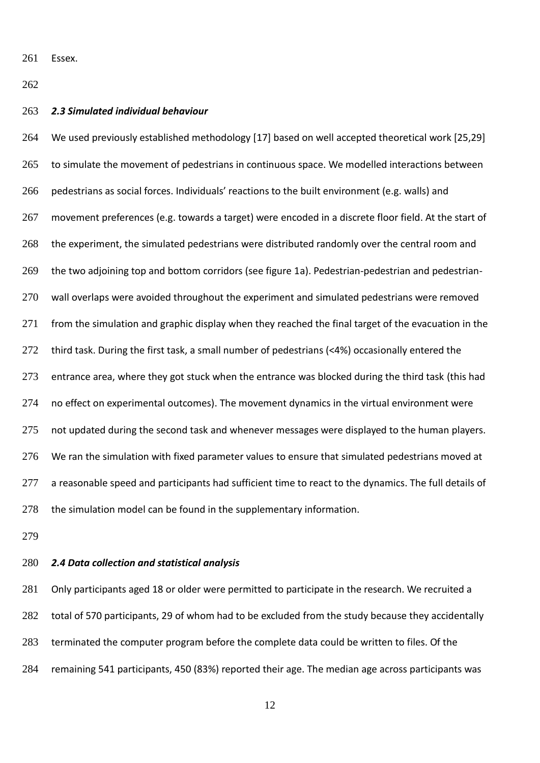Essex.

#### *2.3 Simulated individual behaviour*

 We used previously established methodology [17] based on well accepted theoretical work [25,29] to simulate the movement of pedestrians in continuous space. We modelled interactions between pedestrians as social forces. Individuals' reactions to the built environment (e.g. walls) and movement preferences (e.g. towards a target) were encoded in a discrete floor field. At the start of the experiment, the simulated pedestrians were distributed randomly over the central room and the two adjoining top and bottom corridors (see figure 1a). Pedestrian-pedestrian and pedestrian-270 wall overlaps were avoided throughout the experiment and simulated pedestrians were removed from the simulation and graphic display when they reached the final target of the evacuation in the third task. During the first task, a small number of pedestrians (<4%) occasionally entered the 273 entrance area, where they got stuck when the entrance was blocked during the third task (this had 274 no effect on experimental outcomes). The movement dynamics in the virtual environment were 275 not updated during the second task and whenever messages were displayed to the human players. 276 We ran the simulation with fixed parameter values to ensure that simulated pedestrians moved at 277 a reasonable speed and participants had sufficient time to react to the dynamics. The full details of 278 the simulation model can be found in the supplementary information.

## *2.4 Data collection and statistical analysis*

281 Only participants aged 18 or older were permitted to participate in the research. We recruited a total of 570 participants, 29 of whom had to be excluded from the study because they accidentally 283 terminated the computer program before the complete data could be written to files. Of the remaining 541 participants, 450 (83%) reported their age. The median age across participants was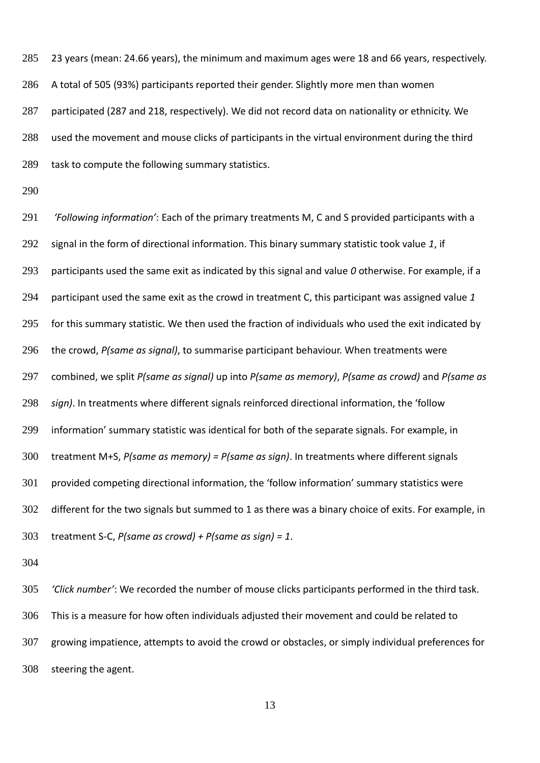23 years (mean: 24.66 years), the minimum and maximum ages were 18 and 66 years, respectively. A total of 505 (93%) participants reported their gender. Slightly more men than women participated (287 and 218, respectively). We did not record data on nationality or ethnicity. We used the movement and mouse clicks of participants in the virtual environment during the third task to compute the following summary statistics.

 *'Following information'*: Each of the primary treatments M, C and S provided participants with a signal in the form of directional information. This binary summary statistic took value *1*, if participants used the same exit as indicated by this signal and value *0* otherwise. For example, if a participant used the same exit as the crowd in treatment C, this participant was assigned value *1* for this summary statistic. We then used the fraction of individuals who used the exit indicated by the crowd, *P(same as signal)*, to summarise participant behaviour. When treatments were combined, we split *P(same as signal)* up into *P(same as memory)*, *P(same as crowd)* and *P(same as sign)*. In treatments where different signals reinforced directional information, the 'follow information' summary statistic was identical for both of the separate signals. For example, in treatment M+S, *P(same as memory) = P(same as sign)*. In treatments where different signals provided competing directional information, the 'follow information' summary statistics were different for the two signals but summed to 1 as there was a binary choice of exits. For example, in treatment S-C, *P(same as crowd) + P(same as sign) = 1*.

 *'Click number'*: We recorded the number of mouse clicks participants performed in the third task. This is a measure for how often individuals adjusted their movement and could be related to growing impatience, attempts to avoid the crowd or obstacles, or simply individual preferences for steering the agent.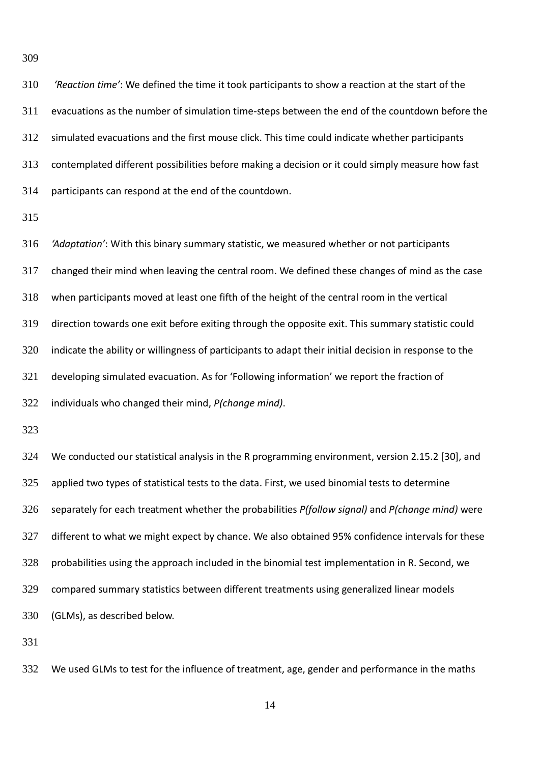*'Reaction time'*: We defined the time it took participants to show a reaction at the start of the evacuations as the number of simulation time-steps between the end of the countdown before the simulated evacuations and the first mouse click. This time could indicate whether participants contemplated different possibilities before making a decision or it could simply measure how fast participants can respond at the end of the countdown.

 *'Adaptation'*: With this binary summary statistic, we measured whether or not participants changed their mind when leaving the central room. We defined these changes of mind as the case when participants moved at least one fifth of the height of the central room in the vertical direction towards one exit before exiting through the opposite exit. This summary statistic could indicate the ability or willingness of participants to adapt their initial decision in response to the developing simulated evacuation. As for 'Following information' we report the fraction of

individuals who changed their mind, *P(change mind)*.

 We conducted our statistical analysis in the R programming environment, version 2.15.2 [30], and applied two types of statistical tests to the data. First, we used binomial tests to determine separately for each treatment whether the probabilities *P(follow signal)* and *P(change mind)* were different to what we might expect by chance. We also obtained 95% confidence intervals for these probabilities using the approach included in the binomial test implementation in R. Second, we compared summary statistics between different treatments using generalized linear models (GLMs), as described below.

We used GLMs to test for the influence of treatment, age, gender and performance in the maths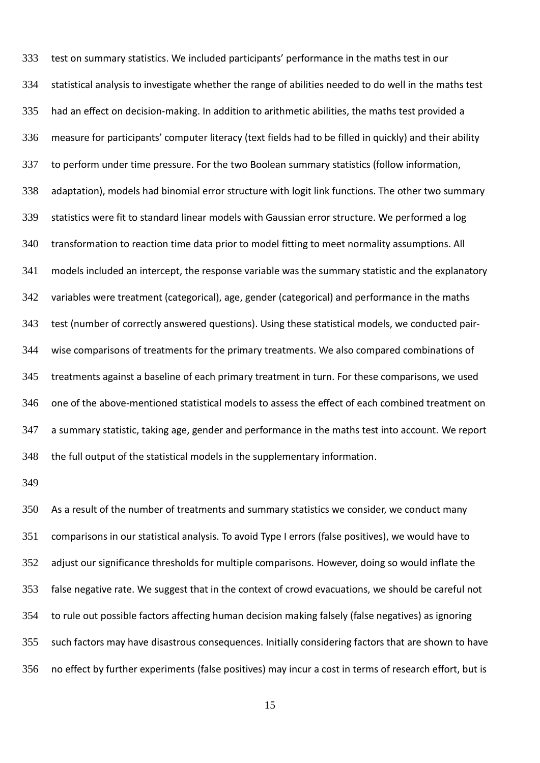test on summary statistics. We included participants' performance in the maths test in our statistical analysis to investigate whether the range of abilities needed to do well in the maths test had an effect on decision-making. In addition to arithmetic abilities, the maths test provided a measure for participants' computer literacy (text fields had to be filled in quickly) and their ability to perform under time pressure. For the two Boolean summary statistics (follow information, adaptation), models had binomial error structure with logit link functions. The other two summary statistics were fit to standard linear models with Gaussian error structure. We performed a log 340 transformation to reaction time data prior to model fitting to meet normality assumptions. All models included an intercept, the response variable was the summary statistic and the explanatory variables were treatment (categorical), age, gender (categorical) and performance in the maths test (number of correctly answered questions). Using these statistical models, we conducted pair- wise comparisons of treatments for the primary treatments. We also compared combinations of treatments against a baseline of each primary treatment in turn. For these comparisons, we used one of the above-mentioned statistical models to assess the effect of each combined treatment on a summary statistic, taking age, gender and performance in the maths test into account. We report the full output of the statistical models in the supplementary information.

 As a result of the number of treatments and summary statistics we consider, we conduct many comparisons in our statistical analysis. To avoid Type I errors (false positives), we would have to adjust our significance thresholds for multiple comparisons. However, doing so would inflate the false negative rate. We suggest that in the context of crowd evacuations, we should be careful not to rule out possible factors affecting human decision making falsely (false negatives) as ignoring such factors may have disastrous consequences. Initially considering factors that are shown to have no effect by further experiments (false positives) may incur a cost in terms of research effort, but is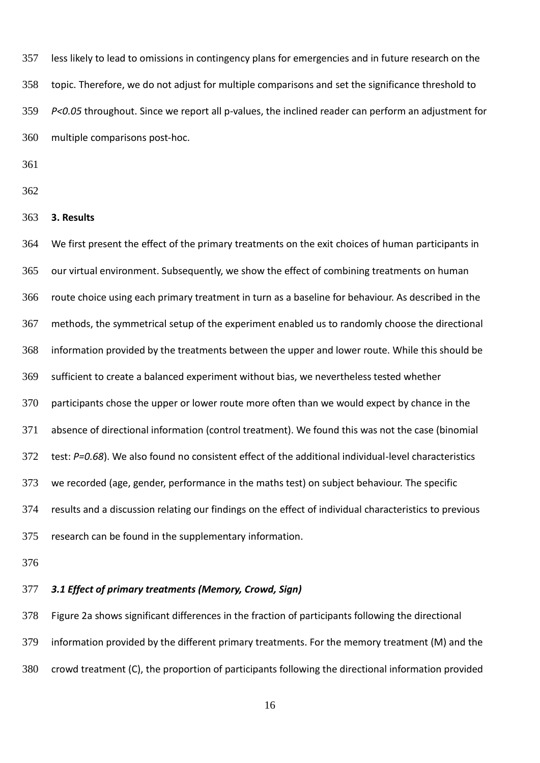less likely to lead to omissions in contingency plans for emergencies and in future research on the topic. Therefore, we do not adjust for multiple comparisons and set the significance threshold to *P<0.05* throughout. Since we report all p-values, the inclined reader can perform an adjustment for multiple comparisons post-hoc.

- 
- 
- **3. Results**

 We first present the effect of the primary treatments on the exit choices of human participants in our virtual environment. Subsequently, we show the effect of combining treatments on human route choice using each primary treatment in turn as a baseline for behaviour. As described in the methods, the symmetrical setup of the experiment enabled us to randomly choose the directional information provided by the treatments between the upper and lower route. While this should be sufficient to create a balanced experiment without bias, we nevertheless tested whether participants chose the upper or lower route more often than we would expect by chance in the absence of directional information (control treatment). We found this was not the case (binomial test: *P=0.68*). We also found no consistent effect of the additional individual-level characteristics we recorded (age, gender, performance in the maths test) on subject behaviour. The specific results and a discussion relating our findings on the effect of individual characteristics to previous research can be found in the supplementary information.

# *3.1 Effect of primary treatments (Memory, Crowd, Sign)*

 Figure 2a shows significant differences in the fraction of participants following the directional information provided by the different primary treatments. For the memory treatment (M) and the crowd treatment (C), the proportion of participants following the directional information provided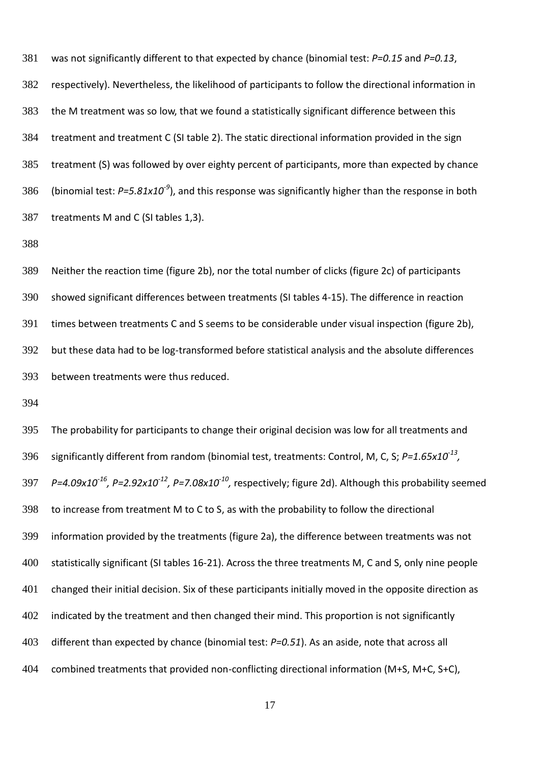was not significantly different to that expected by chance (binomial test: *P=0.15* and *P=0.13*, respectively). Nevertheless, the likelihood of participants to follow the directional information in the M treatment was so low, that we found a statistically significant difference between this treatment and treatment C (SI table 2). The static directional information provided in the sign treatment (S) was followed by over eighty percent of participants, more than expected by chance 386 (binomial test: P=5.81x10<sup>-9</sup>), and this response was significantly higher than the response in both treatments M and C (SI tables 1,3).

 Neither the reaction time (figure 2b), nor the total number of clicks (figure 2c) of participants showed significant differences between treatments (SI tables 4-15). The difference in reaction times between treatments C and S seems to be considerable under visual inspection (figure 2b), but these data had to be log-transformed before statistical analysis and the absolute differences between treatments were thus reduced.

 The probability for participants to change their original decision was low for all treatments and significantly different from random (binomial test, treatments: Control, M, C, S;  $P=1.65 \times 10^{-13}$ , *P=4.09x10<sup>-16</sup>, P=2.92x10<sup>-12</sup>, P=7.08x10<sup>-10</sup>, respectively; figure 2d). Although this probability seemed*  to increase from treatment M to C to S, as with the probability to follow the directional information provided by the treatments (figure 2a), the difference between treatments was not statistically significant (SI tables 16-21). Across the three treatments M, C and S, only nine people changed their initial decision. Six of these participants initially moved in the opposite direction as indicated by the treatment and then changed their mind. This proportion is not significantly different than expected by chance (binomial test: *P=0.51*). As an aside, note that across all combined treatments that provided non-conflicting directional information (M+S, M+C, S+C),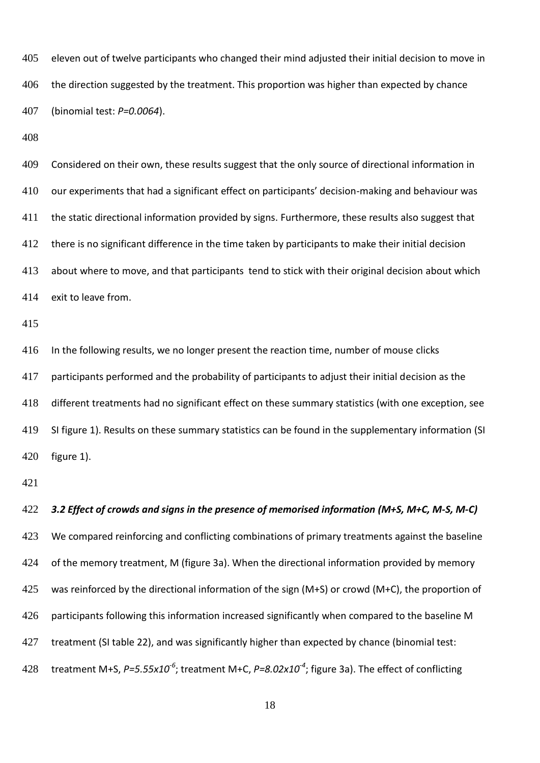eleven out of twelve participants who changed their mind adjusted their initial decision to move in 406 the direction suggested by the treatment. This proportion was higher than expected by chance (binomial test: *P=0.0064*).

409 Considered on their own, these results suggest that the only source of directional information in our experiments that had a significant effect on participants' decision-making and behaviour was the static directional information provided by signs. Furthermore, these results also suggest that there is no significant difference in the time taken by participants to make their initial decision about where to move, and that participants tend to stick with their original decision about which exit to leave from.

 In the following results, we no longer present the reaction time, number of mouse clicks participants performed and the probability of participants to adjust their initial decision as the different treatments had no significant effect on these summary statistics (with one exception, see SI figure 1). Results on these summary statistics can be found in the supplementary information (SI figure 1).

 *3.2 Effect of crowds and signs in the presence of memorised information (M+S, M+C, M-S, M-C)* 423 We compared reinforcing and conflicting combinations of primary treatments against the baseline 424 of the memory treatment, M (figure 3a). When the directional information provided by memory 425 was reinforced by the directional information of the sign (M+S) or crowd (M+C), the proportion of 426 participants following this information increased significantly when compared to the baseline M treatment (SI table 22), and was significantly higher than expected by chance (binomial test: 428 treatment M+S, P=5.55x10<sup>-6</sup>; treatment M+C, P=8.02x10<sup>-4</sup>; figure 3a). The effect of conflicting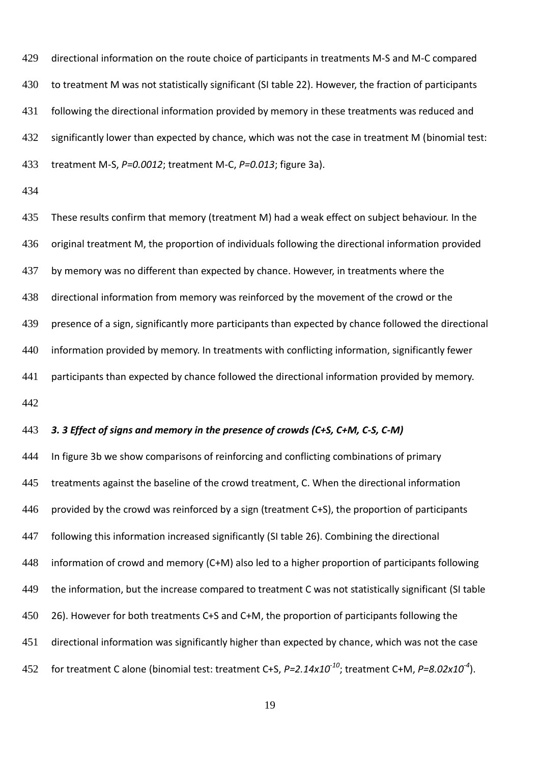directional information on the route choice of participants in treatments M-S and M-C compared to treatment M was not statistically significant (SI table 22). However, the fraction of participants following the directional information provided by memory in these treatments was reduced and significantly lower than expected by chance, which was not the case in treatment M (binomial test: treatment M-S, *P=0.0012*; treatment M-C, *P=0.013*; figure 3a).

 These results confirm that memory (treatment M) had a weak effect on subject behaviour. In the original treatment M, the proportion of individuals following the directional information provided by memory was no different than expected by chance. However, in treatments where the directional information from memory was reinforced by the movement of the crowd or the presence of a sign, significantly more participants than expected by chance followed the directional information provided by memory. In treatments with conflicting information, significantly fewer participants than expected by chance followed the directional information provided by memory. 

# *3. 3 Effect of signs and memory in the presence of crowds (C+S, C+M, C-S, C-M)*

444 In figure 3b we show comparisons of reinforcing and conflicting combinations of primary 445 treatments against the baseline of the crowd treatment, C. When the directional information 446 provided by the crowd was reinforced by a sign (treatment C+S), the proportion of participants following this information increased significantly (SI table 26). Combining the directional information of crowd and memory (C+M) also led to a higher proportion of participants following the information, but the increase compared to treatment C was not statistically significant (SI table 450 26). However for both treatments C+S and C+M, the proportion of participants following the directional information was significantly higher than expected by chance, which was not the case 452 for treatment C alone (binomial test: treatment C+S, *P=2.14x10<sup>-10</sup>*; treatment C+M, *P=8.02x10<sup>-4</sup>*).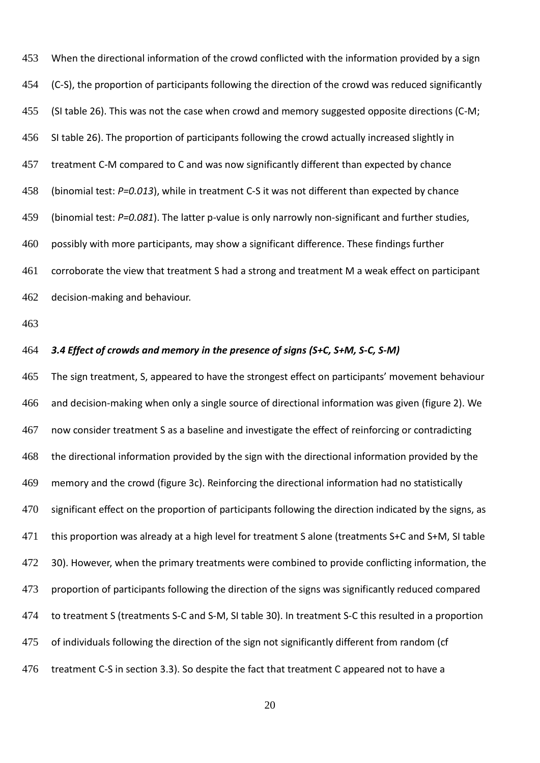When the directional information of the crowd conflicted with the information provided by a sign (C-S), the proportion of participants following the direction of the crowd was reduced significantly (SI table 26). This was not the case when crowd and memory suggested opposite directions (C-M; SI table 26). The proportion of participants following the crowd actually increased slightly in treatment C-M compared to C and was now significantly different than expected by chance (binomial test: *P=0.013*), while in treatment C-S it was not different than expected by chance (binomial test: *P=0.081*). The latter p-value is only narrowly non-significant and further studies, possibly with more participants, may show a significant difference. These findings further corroborate the view that treatment S had a strong and treatment M a weak effect on participant decision-making and behaviour.

### *3.4 Effect of crowds and memory in the presence of signs (S+C, S+M, S-C, S-M)*

 The sign treatment, S, appeared to have the strongest effect on participants' movement behaviour and decision-making when only a single source of directional information was given (figure 2). We now consider treatment S as a baseline and investigate the effect of reinforcing or contradicting the directional information provided by the sign with the directional information provided by the memory and the crowd (figure 3c). Reinforcing the directional information had no statistically 470 significant effect on the proportion of participants following the direction indicated by the signs, as this proportion was already at a high level for treatment S alone (treatments S+C and S+M, SI table 472 30). However, when the primary treatments were combined to provide conflicting information, the proportion of participants following the direction of the signs was significantly reduced compared to treatment S (treatments S-C and S-M, SI table 30). In treatment S-C this resulted in a proportion 475 of individuals following the direction of the sign not significantly different from random (cf treatment C-S in section 3.3). So despite the fact that treatment C appeared not to have a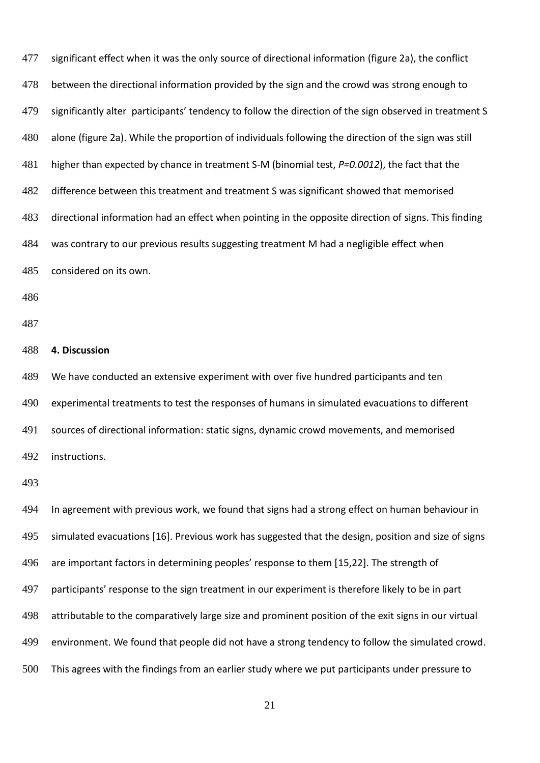| 477 | significant effect when it was the only source of directional information (figure 2a), the conflict    |
|-----|--------------------------------------------------------------------------------------------------------|
| 478 | between the directional information provided by the sign and the crowd was strong enough to            |
| 479 | significantly alter participants' tendency to follow the direction of the sign observed in treatment S |
| 480 | alone (figure 2a). While the proportion of individuals following the direction of the sign was still   |
| 481 | higher than expected by chance in treatment S-M (binomial test, P=0.0012), the fact that the           |
| 482 | difference between this treatment and treatment S was significant showed that memorised                |
| 483 | directional information had an effect when pointing in the opposite direction of signs. This finding   |
| 484 | was contrary to our previous results suggesting treatment M had a negligible effect when               |
| 485 | considered on its own.                                                                                 |
| 486 |                                                                                                        |
| 487 |                                                                                                        |
| 488 | 4. Discussion                                                                                          |
| 489 | We have conducted an extensive experiment with over five hundred participants and ten                  |
| 490 | experimental treatments to test the responses of humans in simulated evacuations to different          |
| 491 | sources of directional information: static signs, dynamic crowd movements, and memorised               |
|     | 492 instructions.                                                                                      |
| 493 |                                                                                                        |
| 494 | In agreement with previous work, we found that signs had a strong effect on human behaviour in         |
| 495 | simulated evacuations [16]. Previous work has suggested that the design, position and size of signs    |
| 496 | are important factors in determining peoples' response to them [15,22]. The strength of                |
| 497 | participants' response to the sign treatment in our experiment is therefore likely to be in part       |
| 498 | attributable to the comparatively large size and prominent position of the exit signs in our virtual   |
| 499 | environment. We found that people did not have a strong tendency to follow the simulated crowd.        |
|     |                                                                                                        |

This agrees with the findings from an earlier study where we put participants under pressure to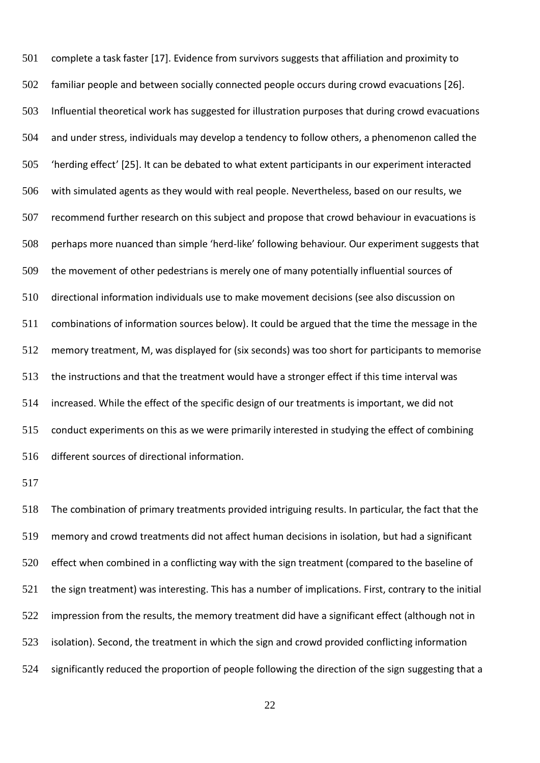complete a task faster [17]. Evidence from survivors suggests that affiliation and proximity to familiar people and between socially connected people occurs during crowd evacuations [26]. Influential theoretical work has suggested for illustration purposes that during crowd evacuations and under stress, individuals may develop a tendency to follow others, a phenomenon called the 'herding effect' [25]. It can be debated to what extent participants in our experiment interacted with simulated agents as they would with real people. Nevertheless, based on our results, we recommend further research on this subject and propose that crowd behaviour in evacuations is perhaps more nuanced than simple 'herd-like' following behaviour. Our experiment suggests that the movement of other pedestrians is merely one of many potentially influential sources of directional information individuals use to make movement decisions (see also discussion on combinations of information sources below). It could be argued that the time the message in the memory treatment, M, was displayed for (six seconds) was too short for participants to memorise the instructions and that the treatment would have a stronger effect if this time interval was increased. While the effect of the specific design of our treatments is important, we did not conduct experiments on this as we were primarily interested in studying the effect of combining different sources of directional information.

 The combination of primary treatments provided intriguing results. In particular, the fact that the memory and crowd treatments did not affect human decisions in isolation, but had a significant effect when combined in a conflicting way with the sign treatment (compared to the baseline of the sign treatment) was interesting. This has a number of implications. First, contrary to the initial impression from the results, the memory treatment did have a significant effect (although not in isolation). Second, the treatment in which the sign and crowd provided conflicting information significantly reduced the proportion of people following the direction of the sign suggesting that a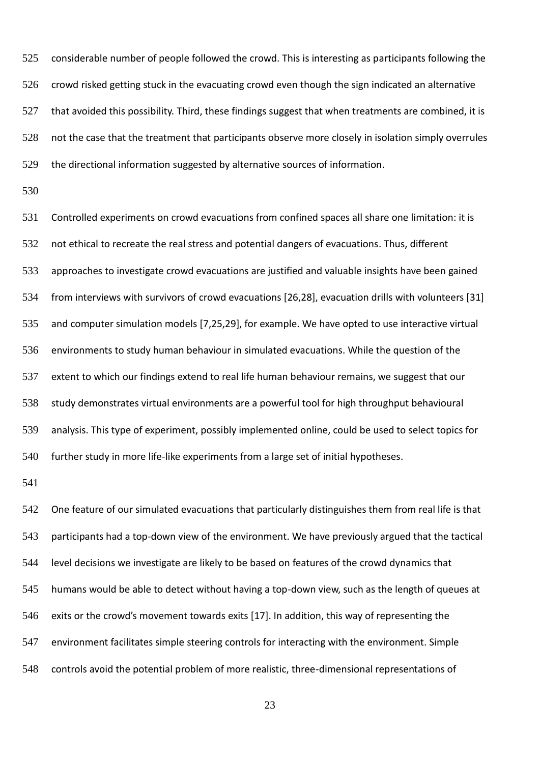considerable number of people followed the crowd. This is interesting as participants following the crowd risked getting stuck in the evacuating crowd even though the sign indicated an alternative 527 that avoided this possibility. Third, these findings suggest that when treatments are combined, it is not the case that the treatment that participants observe more closely in isolation simply overrules the directional information suggested by alternative sources of information.

 Controlled experiments on crowd evacuations from confined spaces all share one limitation: it is not ethical to recreate the real stress and potential dangers of evacuations. Thus, different approaches to investigate crowd evacuations are justified and valuable insights have been gained from interviews with survivors of crowd evacuations [26,28], evacuation drills with volunteers [31] and computer simulation models [7,25,29], for example. We have opted to use interactive virtual environments to study human behaviour in simulated evacuations. While the question of the extent to which our findings extend to real life human behaviour remains, we suggest that our study demonstrates virtual environments are a powerful tool for high throughput behavioural analysis. This type of experiment, possibly implemented online, could be used to select topics for further study in more life-like experiments from a large set of initial hypotheses.

 One feature of our simulated evacuations that particularly distinguishes them from real life is that participants had a top-down view of the environment. We have previously argued that the tactical level decisions we investigate are likely to be based on features of the crowd dynamics that humans would be able to detect without having a top-down view, such as the length of queues at exits or the crowd's movement towards exits [17]. In addition, this way of representing the environment facilitates simple steering controls for interacting with the environment. Simple controls avoid the potential problem of more realistic, three-dimensional representations of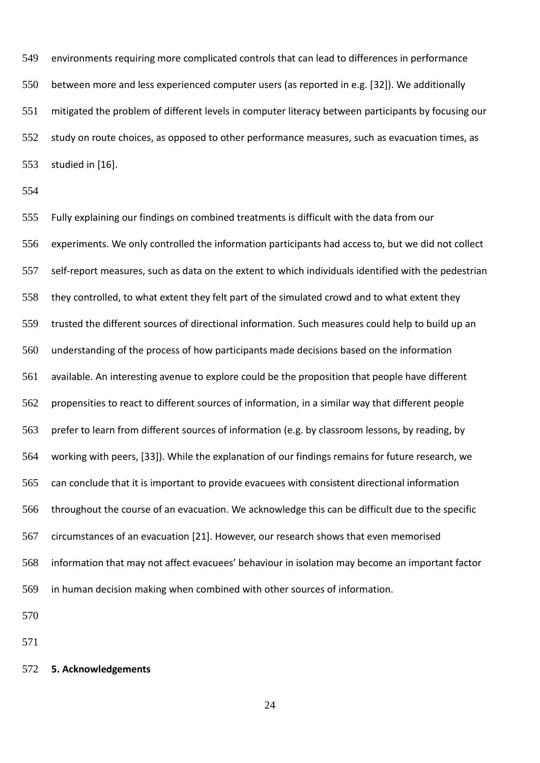environments requiring more complicated controls that can lead to differences in performance between more and less experienced computer users (as reported in e.g. [32]). We additionally mitigated the problem of different levels in computer literacy between participants by focusing our study on route choices, as opposed to other performance measures, such as evacuation times, as studied in [16].

 Fully explaining our findings on combined treatments is difficult with the data from our experiments. We only controlled the information participants had access to, but we did not collect self-report measures, such as data on the extent to which individuals identified with the pedestrian they controlled, to what extent they felt part of the simulated crowd and to what extent they trusted the different sources of directional information. Such measures could help to build up an understanding of the process of how participants made decisions based on the information available. An interesting avenue to explore could be the proposition that people have different propensities to react to different sources of information, in a similar way that different people prefer to learn from different sources of information (e.g. by classroom lessons, by reading, by working with peers, [33]). While the explanation of our findings remains for future research, we can conclude that it is important to provide evacuees with consistent directional information throughout the course of an evacuation. We acknowledge this can be difficult due to the specific circumstances of an evacuation [21]. However, our research shows that even memorised information that may not affect evacuees' behaviour in isolation may become an important factor in human decision making when combined with other sources of information.

## **5. Acknowledgements**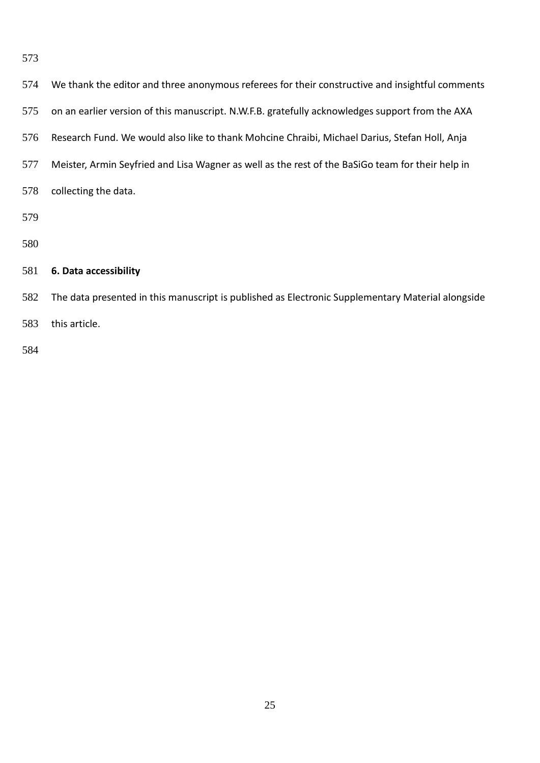| 574 | We thank the editor and three anonymous referees for their constructive and insightful comments   |
|-----|---------------------------------------------------------------------------------------------------|
| 575 | on an earlier version of this manuscript. N.W.F.B. gratefully acknowledges support from the AXA   |
| 576 | Research Fund. We would also like to thank Mohcine Chraibi, Michael Darius, Stefan Holl, Anja     |
| 577 | Meister, Armin Seyfried and Lisa Wagner as well as the rest of the BaSiGo team for their help in  |
| 578 | collecting the data.                                                                              |
| 579 |                                                                                                   |
| 580 |                                                                                                   |
| 581 | 6. Data accessibility                                                                             |
| 582 | The data presented in this manuscript is published as Electronic Supplementary Material alongside |
| 583 | this article.                                                                                     |
|     |                                                                                                   |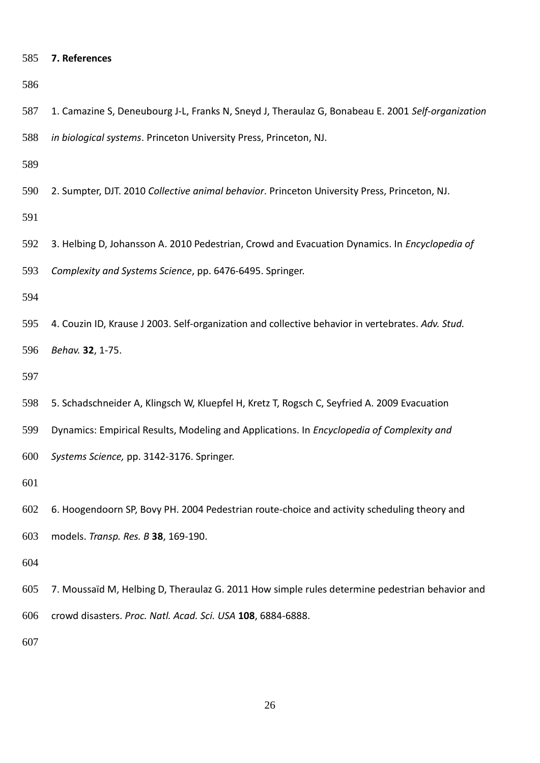## **7. References**

 1. Camazine S, Deneubourg J-L, Franks N, Sneyd J, Theraulaz G, Bonabeau E. 2001 *Self-organization in biological systems*. Princeton University Press, Princeton, NJ.

2. Sumpter, DJT. 2010 *Collective animal behavior*. Princeton University Press, Princeton, NJ.

 3. Helbing D, Johansson A. 2010 Pedestrian, Crowd and Evacuation Dynamics. In *Encyclopedia of Complexity and Systems Science*, pp. 6476-6495. Springer.

 4. Couzin ID, Krause J 2003. Self-organization and collective behavior in vertebrates. *Adv. Stud. Behav.* **32**, 1-75.

- 5. Schadschneider A, Klingsch W, Kluepfel H, Kretz T, Rogsch C, Seyfried A. 2009 Evacuation
- Dynamics: Empirical Results, Modeling and Applications. In *Encyclopedia of Complexity and*
- *Systems Science,* pp. 3142-3176. Springer.

- 6. Hoogendoorn SP, Bovy PH. 2004 Pedestrian route-choice and activity scheduling theory and
- models. *Transp. Res. B* **38**, 169-190.

 7. Moussaïd M, Helbing D, Theraulaz G. 2011 How simple rules determine pedestrian behavior and crowd disasters. *Proc. Natl. Acad. Sci. USA* **108**, 6884-6888.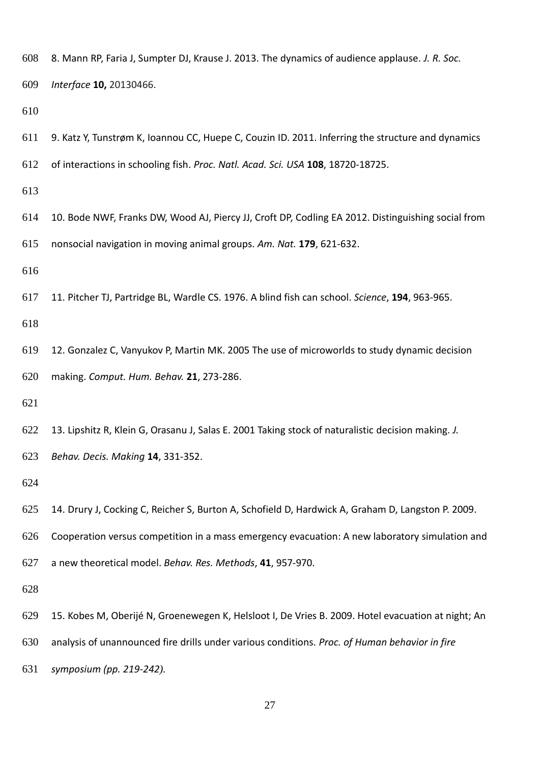8. Mann RP, Faria J, Sumpter DJ, Krause J. 2013. The dynamics of audience applause. *J. R. Soc.*

*Interface* **10,** 20130466.

- 9. Katz Y, Tunstrøm K, Ioannou CC, Huepe C, Couzin ID. 2011. Inferring the structure and dynamics
- of interactions in schooling fish. *Proc. Natl. Acad. Sci. USA* **108**, 18720-18725.
- 
- 10. Bode NWF, Franks DW, Wood AJ, Piercy JJ, Croft DP, Codling EA 2012. Distinguishing social from
- nonsocial navigation in moving animal groups. *Am. Nat.* **179**, 621-632.
- 
- 11. Pitcher TJ, Partridge BL, Wardle CS. 1976. A blind fish can school. *Science*, **194**, 963-965.

- 12. Gonzalez C, Vanyukov P, Martin MK. 2005 The use of microworlds to study dynamic decision making. *Comput. Hum. Behav.* **21**, 273-286.
- 
- 13. Lipshitz R, Klein G, Orasanu J, Salas E. 2001 Taking stock of naturalistic decision making. *J.*
- *Behav. Decis. Making* **14**, 331-352.

- 14. Drury J, Cocking C, Reicher S, Burton A, Schofield D, Hardwick A, Graham D, Langston P. 2009.
- Cooperation versus competition in a mass emergency evacuation: A new laboratory simulation and
- a new theoretical model. *Behav. Res. Methods*, **41**, 957-970.

- 15. Kobes M, Oberijé N, Groenewegen K, Helsloot I, De Vries B. 2009. Hotel evacuation at night; An
- analysis of unannounced fire drills under various conditions. *Proc. of Human behavior in fire*
- *symposium (pp. 219-242).*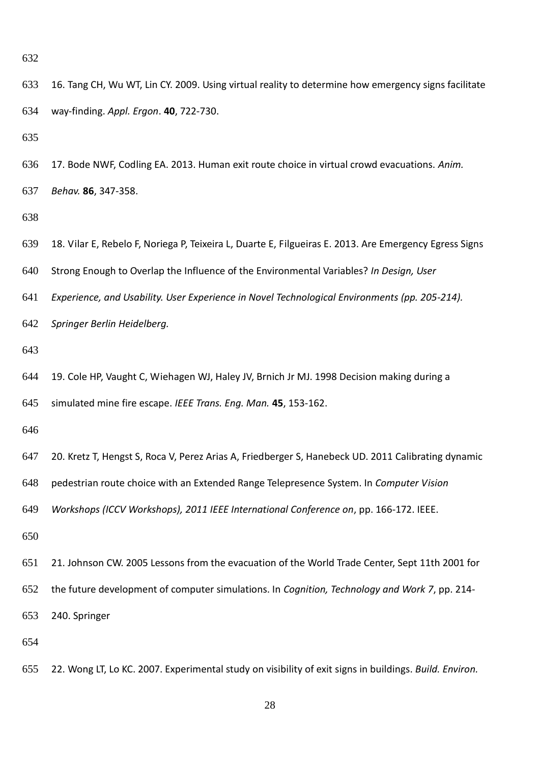way-finding. *Appl. Ergon*. **40**, 722-730.

 17. Bode NWF, Codling EA. 2013. Human exit route choice in virtual crowd evacuations. *Anim. Behav.* **86**, 347-358. 18. Vilar E, Rebelo F, Noriega P, Teixeira L, Duarte E, Filgueiras E. 2013. Are Emergency Egress Signs Strong Enough to Overlap the Influence of the Environmental Variables? *In Design, User Experience, and Usability. User Experience in Novel Technological Environments (pp. 205-214). Springer Berlin Heidelberg.* 19. Cole HP, Vaught C, Wiehagen WJ, Haley JV, Brnich Jr MJ. 1998 Decision making during a simulated mine fire escape. *IEEE Trans. Eng. Man.* **45**, 153-162. 20. Kretz T, Hengst S, Roca V, Perez Arias A, Friedberger S, Hanebeck UD. 2011 Calibrating dynamic pedestrian route choice with an Extended Range Telepresence System. In *Computer Vision Workshops (ICCV Workshops), 2011 IEEE International Conference on*, pp. 166-172. IEEE. 21. Johnson CW. 2005 Lessons from the evacuation of the World Trade Center, Sept 11th 2001 for the future development of computer simulations. In *Cognition, Technology and Work 7*, pp. 214-

16. Tang CH, Wu WT, Lin CY. 2009. Using virtual reality to determine how emergency signs facilitate

240. Springer

22. Wong LT, Lo KC. 2007. Experimental study on visibility of exit signs in buildings. *Build. Environ.*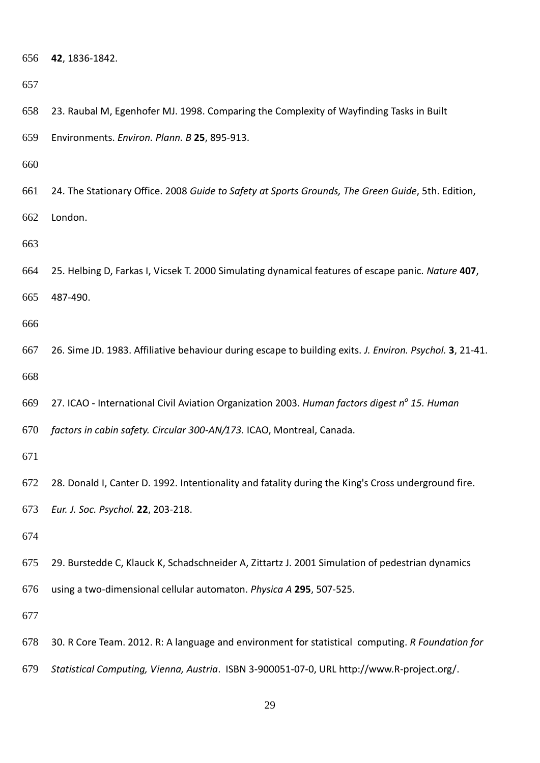**42**, 1836-1842.

 Environments. *Environ. Plann. B* **25**, 895-913. 24. The Stationary Office. 2008 *Guide to Safety at Sports Grounds, The Green Guide*, 5th. Edition, London.

23. Raubal M, Egenhofer MJ. 1998. Comparing the Complexity of Wayfinding Tasks in Built

 25. Helbing D, Farkas I, Vicsek T. 2000 Simulating dynamical features of escape panic. *Nature* **407**, 487-490.

 26. Sime JD. 1983. Affiliative behaviour during escape to building exits. *J. Environ. Psychol.* **3**, 21-41. 

27. ICAO - International Civil Aviation Organization 2003. *Human factors digest n<sup>o</sup> 15. Human* 

*factors in cabin safety. Circular 300-AN/173.* ICAO, Montreal, Canada.

28. Donald I, Canter D. 1992. Intentionality and fatality during the King's Cross underground fire.

*Eur. J. Soc. Psychol.* **22**, 203-218.

29. Burstedde C, Klauck K, Schadschneider A, Zittartz J. 2001 Simulation of pedestrian dynamics

using a two-dimensional cellular automaton. *Physica A* **295**, 507-525.

30. R Core Team. 2012. R: A language and environment for statistical computing. *R Foundation for* 

*Statistical Computing, Vienna, Austria*. ISBN 3-900051-07-0, URL http://www.R-project.org/.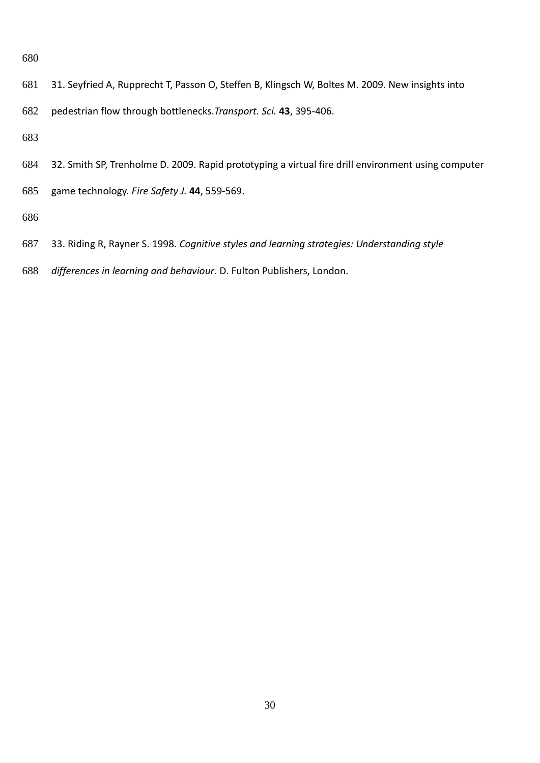- 31. Seyfried A, Rupprecht T, Passon O, Steffen B, Klingsch W, Boltes M. 2009. New insights into
- pedestrian flow through bottlenecks.*Transport. Sci.* **43**, 395-406.

- 32. Smith SP, Trenholme D. 2009. Rapid prototyping a virtual fire drill environment using computer
- game technology. *Fire Safety J.* **44**, 559-569.
- 
- 33. Riding R, Rayner S. 1998. *Cognitive styles and learning strategies: Understanding style*
- *differences in learning and behaviour*. D. Fulton Publishers, London.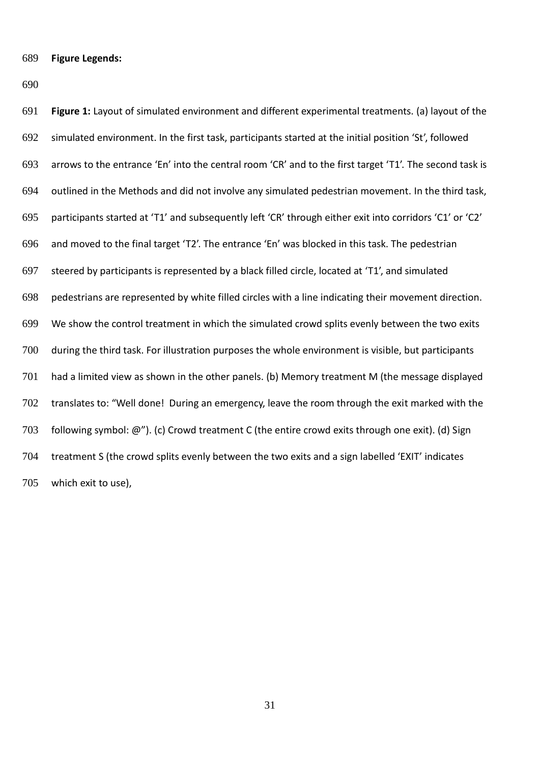**Figure Legends:**

 **Figure 1:** Layout of simulated environment and different experimental treatments. (a) layout of the simulated environment. In the first task, participants started at the initial position 'St', followed arrows to the entrance 'En' into the central room 'CR' and to the first target 'T1'. The second task is outlined in the Methods and did not involve any simulated pedestrian movement. In the third task, participants started at 'T1' and subsequently left 'CR' through either exit into corridors 'C1' or 'C2' and moved to the final target 'T2'. The entrance 'En' was blocked in this task. The pedestrian steered by participants is represented by a black filled circle, located at 'T1', and simulated pedestrians are represented by white filled circles with a line indicating their movement direction. We show the control treatment in which the simulated crowd splits evenly between the two exits during the third task. For illustration purposes the whole environment is visible, but participants had a limited view as shown in the other panels. (b) Memory treatment M (the message displayed translates to: "Well done! During an emergency, leave the room through the exit marked with the following symbol: @"). (c) Crowd treatment C (the entire crowd exits through one exit). (d) Sign treatment S (the crowd splits evenly between the two exits and a sign labelled 'EXIT' indicates which exit to use),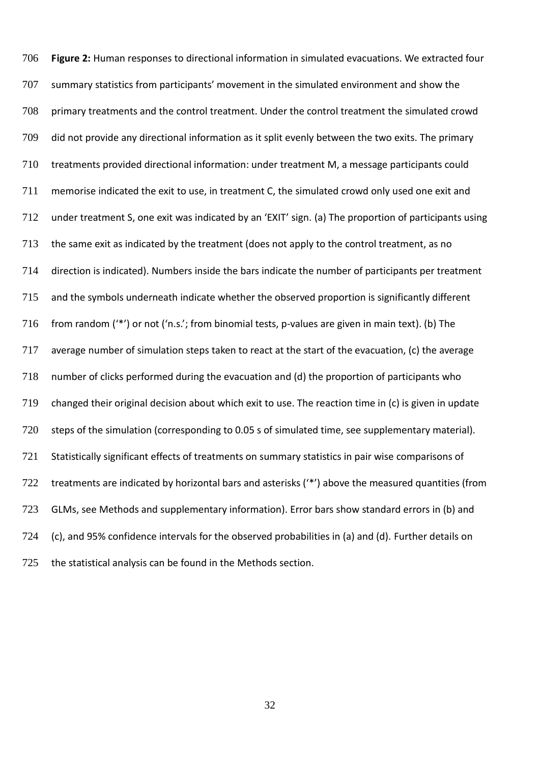**Figure 2:** Human responses to directional information in simulated evacuations. We extracted four summary statistics from participants' movement in the simulated environment and show the primary treatments and the control treatment. Under the control treatment the simulated crowd did not provide any directional information as it split evenly between the two exits. The primary treatments provided directional information: under treatment M, a message participants could memorise indicated the exit to use, in treatment C, the simulated crowd only used one exit and under treatment S, one exit was indicated by an 'EXIT' sign. (a) The proportion of participants using the same exit as indicated by the treatment (does not apply to the control treatment, as no direction is indicated). Numbers inside the bars indicate the number of participants per treatment and the symbols underneath indicate whether the observed proportion is significantly different from random ('\*') or not ('n.s.'; from binomial tests, p-values are given in main text). (b) The average number of simulation steps taken to react at the start of the evacuation, (c) the average number of clicks performed during the evacuation and (d) the proportion of participants who changed their original decision about which exit to use. The reaction time in (c) is given in update steps of the simulation (corresponding to 0.05 s of simulated time, see supplementary material). Statistically significant effects of treatments on summary statistics in pair wise comparisons of 722 treatments are indicated by horizontal bars and asterisks ('\*') above the measured quantities (from GLMs, see Methods and supplementary information). Error bars show standard errors in (b) and (c), and 95% confidence intervals for the observed probabilities in (a) and (d). Further details on the statistical analysis can be found in the Methods section.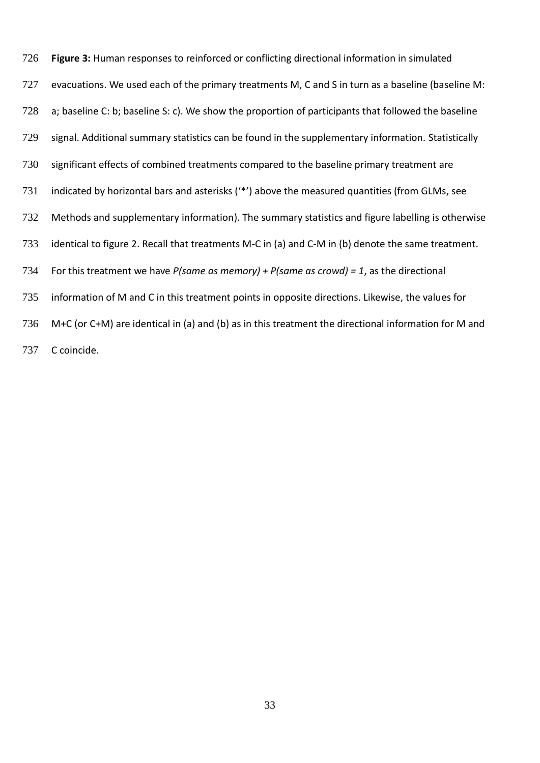**Figure 3:** Human responses to reinforced or conflicting directional information in simulated 727 evacuations. We used each of the primary treatments M, C and S in turn as a baseline (baseline M: a; baseline C: b; baseline S: c). We show the proportion of participants that followed the baseline signal. Additional summary statistics can be found in the supplementary information. Statistically significant effects of combined treatments compared to the baseline primary treatment are indicated by horizontal bars and asterisks ('\*') above the measured quantities (from GLMs, see Methods and supplementary information). The summary statistics and figure labelling is otherwise identical to figure 2. Recall that treatments M-C in (a) and C-M in (b) denote the same treatment. For this treatment we have *P(same as memory) + P(same as crowd) = 1*, as the directional information of M and C in this treatment points in opposite directions. Likewise, the values for M+C (or C+M) are identical in (a) and (b) as in this treatment the directional information for M and C coincide.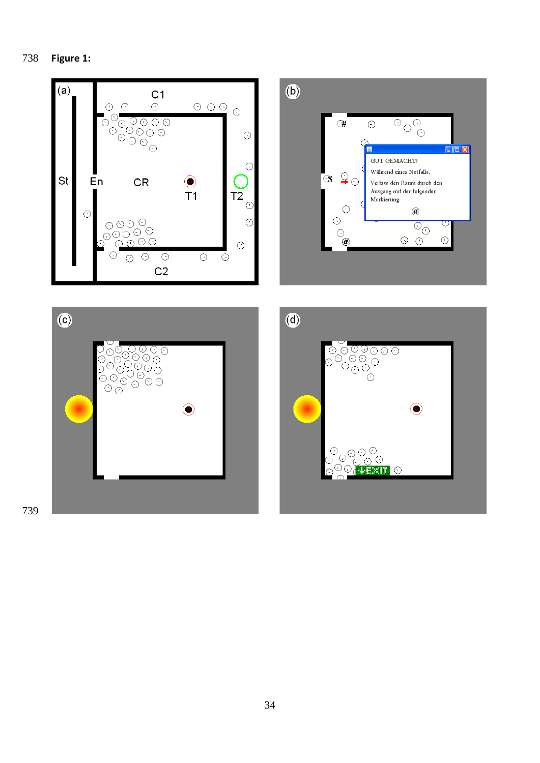





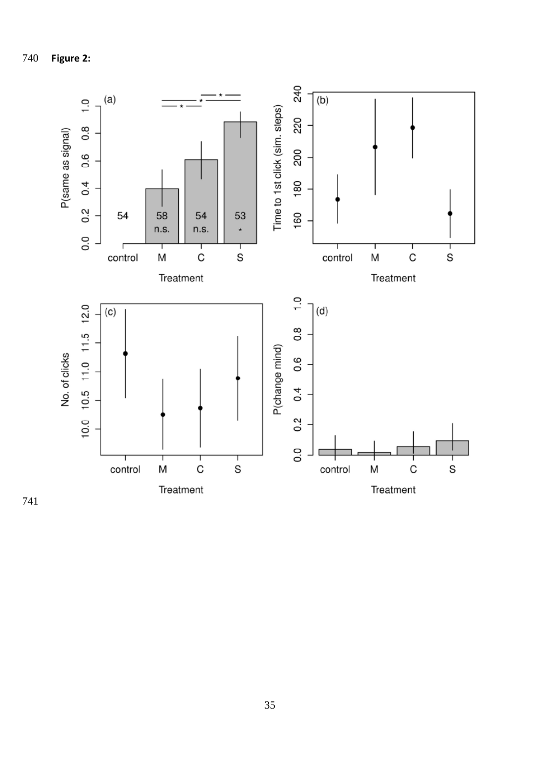